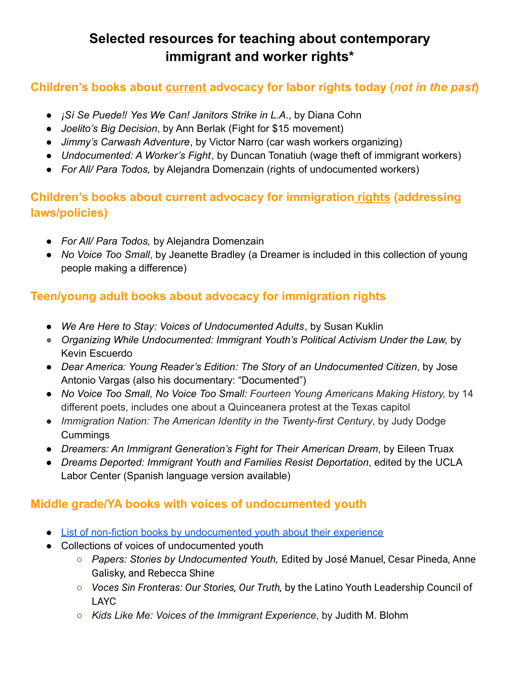# **Selected resources for teaching about contemporary immigrant and worker rights\***

### **Children's books about current advocacy for labor rights today (***not in the past***)**

- *¡Sí Se Puede!*/ *Yes We Can! Janitors Strike in L.A*., by Diana Cohn
- *Joelito's Big Decision*, by Ann Berlak (Fight for \$15 movement)
- *Jimmy's Carwash Adventure*, by Victor Narro (car wash workers organizing)
- *Undocumented: A Worker's Fight*, by Duncan Tonatiuh (wage theft of immigrant workers)
- *For All/ Para Todos,* by Alejandra Domenzain (rights of undocumented workers)

### **Children's books about current advocacy for immigration rights (addressing laws/policies)**

- *For All/ Para Todos,* by Alejandra Domenzain
- *No Voice Too Small*, by Jeanette Bradley (a Dreamer is included in this collection of young people making a difference)

## **Teen/young adult books about advocacy for immigration rights**

- *We Are Here to Stay: Voices of Undocumented Adults*, by Susan Kuklin
- *Organizing While Undocumented: Immigrant Youth's Political Activism Under the Law,* by Kevin Escuerdo
- *Dear America: Young Reader's Edition: The Story of an Undocumented Citizen*, by Jose Antonio Vargas (also his documentary: "Documented")
- *No Voice Too Small, No Voice Too Small: Fourteen Young Americans Making History,* by 14 different poets, includes one about a Quinceanera protest at the Texas capitol
- *Immigration Nation: The American Identity in the Twenty-first Century*, by Judy Dodge **[Cum](https://smcl.bibliocommons.com/search?q=%22Cummings%2C+Judy+Dodge%22&search_category=author&t=author)mings**
- *Dreamers: An Immigrant Generation's Fight for Their American Dream*, by Eileen Truax
- *Dreams Deported: Immigrant Youth and Families Resist Deportation*, edited by the UCLA Labor Center (Spanish language version available)

### **Middle grade/YA books with voices of undocumented youth**

- [List of non-fiction books by undocumented youth about](https://www.colorincolorado.org/booklist/undocumented-stories-young-immigrants) their experience
- Collections of voices of undocumented youth
	- *Papers: Stories by Undocumented Youth,* Edited by José Manuel, Cesar Pineda, Anne Galisky, and Rebecca Shine
	- *Voces Sin Fronteras: Our Stories, Our Truth,* by the Latino Youth Leadership Council of LAYC
	- *Kids Like Me: Voices of the Immigrant Experience*, by [Judith M. Blohm](https://www.amazon.com/Judith-M-Blohm/e/B001JOVQFO/ref=dp_byline_cont_book_1)